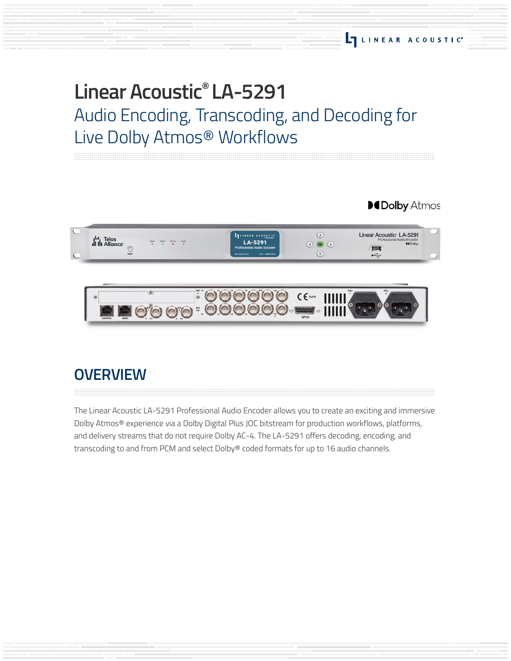# **Linear Acoustic® LA-5291** Audio Encoding, Transcoding, and Decoding for Live Dolby Atmos® Workflows

**MDolby Atmos** 



# **OVERVIEW**

The Linear Acoustic LA-5291 Professional Audio Encoder allows you to create an exciting and immersive Dolby Atmos® experience via a Dolby Digital Plus JOC bitstream for production workflows, platforms, and delivery streams that do not require Dolby AC-4. The LA-5291 offers decoding, encoding, and transcoding to and from PCM and select Dolby® coded formats for up to 16 audio channels.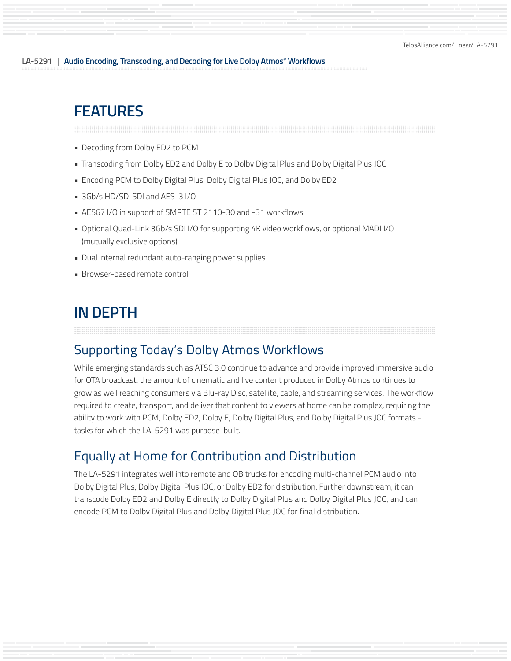# **FEATURES**

- Decoding from Dolby ED2 to PCM
- Transcoding from Dolby ED2 and Dolby E to Dolby Digital Plus and Dolby Digital Plus JOC
- Encoding PCM to Dolby Digital Plus, Dolby Digital Plus JOC, and Dolby ED2
- 3Gb/s HD/SD-SDI and AES-3 I/O
- AES67 I/O in support of SMPTE ST 2110-30 and -31 workflows
- Optional Quad-Link 3Gb/s SDI I/O for supporting 4K video workflows, or optional MADI I/O (mutually exclusive options)
- Dual internal redundant auto-ranging power supplies
- Browser-based remote control

# **IN DEPTH**

## Supporting Today's Dolby Atmos Workflows

While emerging standards such as ATSC 3.0 continue to advance and provide improved immersive audio for OTA broadcast, the amount of cinematic and live content produced in Dolby Atmos continues to grow as well reaching consumers via Blu-ray Disc, satellite, cable, and streaming services. The workflow required to create, transport, and deliver that content to viewers at home can be complex, requiring the ability to work with PCM, Dolby ED2, Dolby E, Dolby Digital Plus, and Dolby Digital Plus JOC formats tasks for which the LA-5291 was purpose-built.

### Equally at Home for Contribution and Distribution

The LA-5291 integrates well into remote and OB trucks for encoding multi-channel PCM audio into Dolby Digital Plus, Dolby Digital Plus JOC, or Dolby ED2 for distribution. Further downstream, it can transcode Dolby ED2 and Dolby E directly to Dolby Digital Plus and Dolby Digital Plus JOC, and can encode PCM to Dolby Digital Plus and Dolby Digital Plus JOC for final distribution.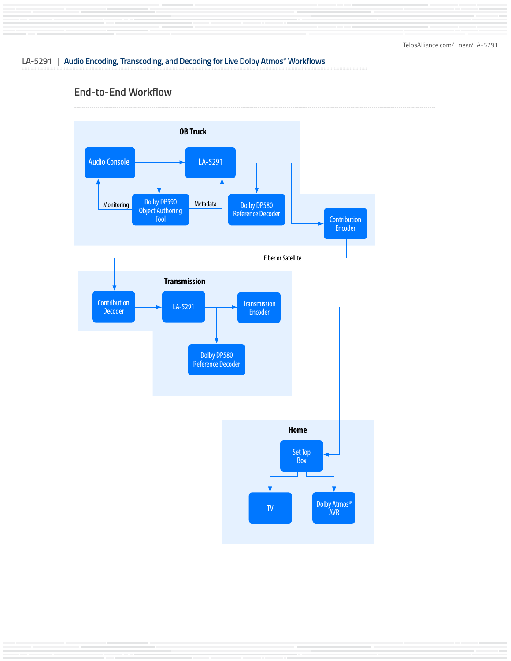#### **End-to-End Workflow**

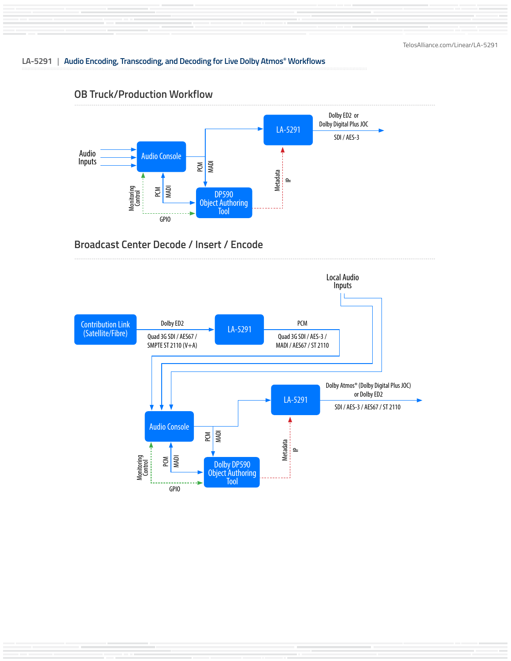

#### **OB Truck/Production Workflow**

### **Broadcast Center Decode / Insert / Encode**

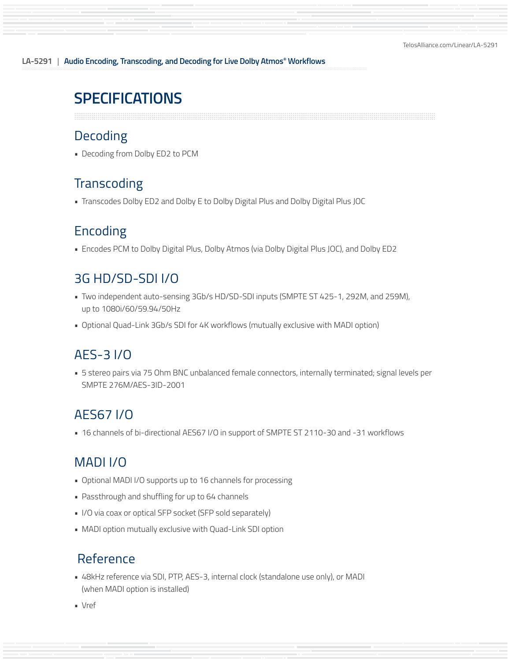# **SPECIFICATIONS**

## Decoding

• Decoding from Dolby ED2 to PCM

# **Transcoding**

• Transcodes Dolby ED2 and Dolby E to Dolby Digital Plus and Dolby Digital Plus JOC

# Encoding

• Encodes PCM to Dolby Digital Plus, Dolby Atmos (via Dolby Digital Plus JOC), and Dolby ED2

# 3G HD/SD-SDI I/O

- Two independent auto-sensing 3Gb/s HD/SD-SDI inputs (SMPTE ST 425-1, 292M, and 259M), up to 1080i/60/59.94/50Hz
- Optional Quad-Link 3Gb/s SDI for 4K workflows (mutually exclusive with MADI option)

# AES-3 I/O

• 5 stereo pairs via 75 Ohm BNC unbalanced female connectors, internally terminated; signal levels per SMPTE 276M/AES-3ID-2001

# AES67 I/O

• 16 channels of bi-directional AES67 I/O in support of SMPTE ST 2110-30 and -31 workflows

# MADI I/O

- Optional MADI I/O supports up to 16 channels for processing
- Passthrough and shuffling for up to 64 channels
- I/O via coax or optical SFP socket (SFP sold separately)
- MADI option mutually exclusive with Quad-Link SDI option

### Reference

• 48kHz reference via SDI, PTP, AES-3, internal clock (standalone use only), or MADI (when MADI option is installed)

• Vref